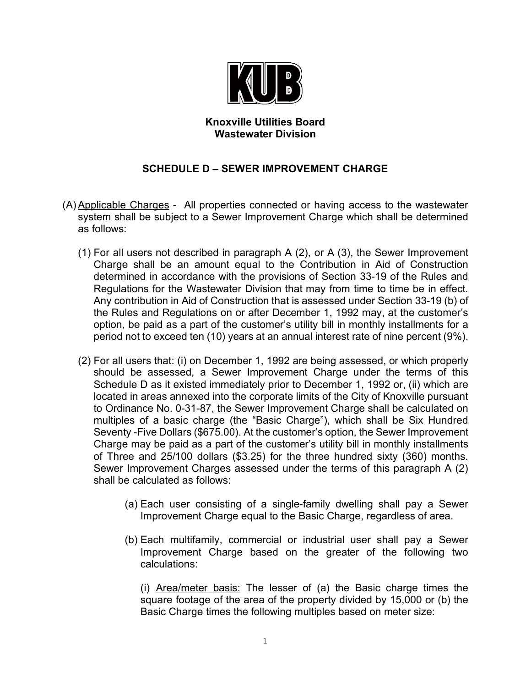

## **Knoxville Utilities Board Wastewater Division**

## **SCHEDULE D – SEWER IMPROVEMENT CHARGE**

- (A) Applicable Charges All properties connected or having access to the wastewater system shall be subject to a Sewer Improvement Charge which shall be determined as follows:
	- (1) For all users not described in paragraph A (2), or A (3), the Sewer Improvement Charge shall be an amount equal to the Contribution in Aid of Construction determined in accordance with the provisions of Section 33-19 of the Rules and Regulations for the Wastewater Division that may from time to time be in effect. Any contribution in Aid of Construction that is assessed under Section 33-19 (b) of the Rules and Regulations on or after December 1, 1992 may, at the customer's option, be paid as a part of the customer's utility bill in monthly installments for a period not to exceed ten (10) years at an annual interest rate of nine percent (9%).
	- (2) For all users that: (i) on December 1, 1992 are being assessed, or which properly should be assessed, a Sewer Improvement Charge under the terms of this Schedule D as it existed immediately prior to December 1, 1992 or, (ii) which are located in areas annexed into the corporate limits of the City of Knoxville pursuant to Ordinance No. 0-31-87, the Sewer Improvement Charge shall be calculated on multiples of a basic charge (the "Basic Charge"), which shall be Six Hundred Seventy -Five Dollars (\$675.00). At the customer's option, the Sewer Improvement Charge may be paid as a part of the customer's utility bill in monthly installments of Three and 25/100 dollars (\$3.25) for the three hundred sixty (360) months. Sewer Improvement Charges assessed under the terms of this paragraph A (2) shall be calculated as follows:
		- (a) Each user consisting of a single-family dwelling shall pay a Sewer Improvement Charge equal to the Basic Charge, regardless of area.
		- (b) Each multifamily, commercial or industrial user shall pay a Sewer Improvement Charge based on the greater of the following two calculations:

(i) Area/meter basis: The lesser of (a) the Basic charge times the square footage of the area of the property divided by 15,000 or (b) the Basic Charge times the following multiples based on meter size: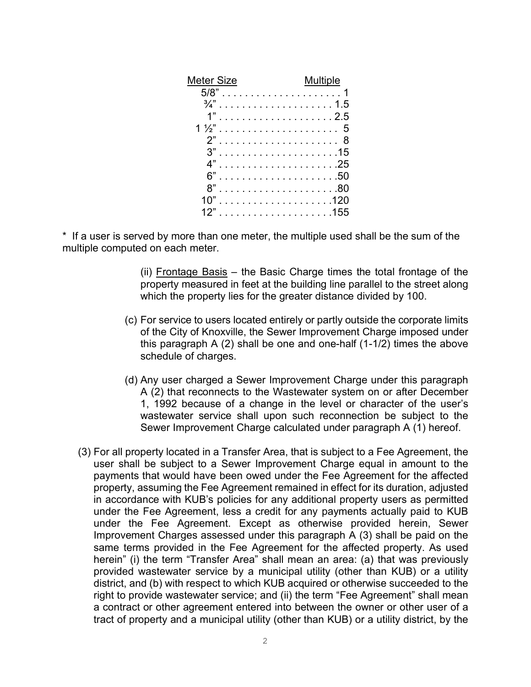| Meter Size                                       | <b>Multiple</b> |
|--------------------------------------------------|-----------------|
|                                                  |                 |
|                                                  |                 |
|                                                  |                 |
|                                                  |                 |
|                                                  |                 |
|                                                  |                 |
|                                                  |                 |
|                                                  |                 |
| 8"                                               |                 |
| 10"                                              |                 |
| and the contract of $\sim$ 155 $^{\circ}$<br>12" |                 |
|                                                  |                 |

\* If a user is served by more than one meter, the multiple used shall be the sum of the multiple computed on each meter.

> (ii) Frontage Basis – the Basic Charge times the total frontage of the property measured in feet at the building line parallel to the street along which the property lies for the greater distance divided by 100.

- (c) For service to users located entirely or partly outside the corporate limits of the City of Knoxville, the Sewer Improvement Charge imposed under this paragraph A  $(2)$  shall be one and one-half  $(1-1/2)$  times the above schedule of charges.
- (d) Any user charged a Sewer Improvement Charge under this paragraph A (2) that reconnects to the Wastewater system on or after December 1, 1992 because of a change in the level or character of the user's wastewater service shall upon such reconnection be subject to the Sewer Improvement Charge calculated under paragraph A (1) hereof.
- (3) For all property located in a Transfer Area, that is subject to a Fee Agreement, the user shall be subject to a Sewer Improvement Charge equal in amount to the payments that would have been owed under the Fee Agreement for the affected property, assuming the Fee Agreement remained in effect for its duration, adjusted in accordance with KUB's policies for any additional property users as permitted under the Fee Agreement, less a credit for any payments actually paid to KUB under the Fee Agreement. Except as otherwise provided herein, Sewer Improvement Charges assessed under this paragraph A (3) shall be paid on the same terms provided in the Fee Agreement for the affected property. As used herein" (i) the term "Transfer Area" shall mean an area: (a) that was previously provided wastewater service by a municipal utility (other than KUB) or a utility district, and (b) with respect to which KUB acquired or otherwise succeeded to the right to provide wastewater service; and (ii) the term "Fee Agreement" shall mean a contract or other agreement entered into between the owner or other user of a tract of property and a municipal utility (other than KUB) or a utility district, by the